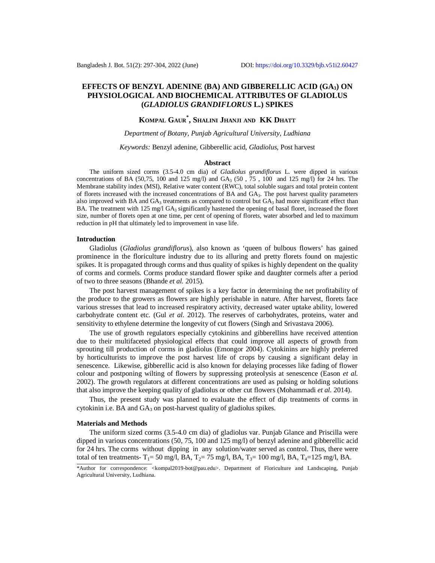## **EFFECTS OF BENZYL ADENINE (BA) AND GIBBERELLIC ACID (GA3) ON PHYSIOLOGICAL AND BIOCHEMICAL ATTRIBUTES OF GLADIOLUS (***GLADIOLUS GRANDIFLORUS* **L.) SPIKES**

# **KOMPAL GAUR\* , SHALINI JHANJI AND KK DHATT**

## *Department of Botany, Punjab Agricultural University, Ludhiana*

#### *Keywords:* Benzyl adenine, Gibberellic acid, *Gladiolus*, Post harvest

### **Abstract**

The uniform sized corms (3.5-4.0 cm dia) of *Gladiolus grandiflorus* L. were dipped in various concentrations of BA (50,75, 100 and 125 mg/l) and  $GA<sub>3</sub>$  (50, 75, 100 and 125 mg/l) for 24 hrs. The Membrane stability index (MSI), Relative water content (RWC), total soluble sugars and total protein content of florets increased with the increased concentrations of BA and GA3. The post harvest quality parameters also improved with BA and  $GA_3$  treatments as compared to control but  $GA_3$  had more significant effect than BA. The treatment with  $125 \text{ mg/l}$  GA<sub>3</sub> significantly hastened the opening of basal floret, increased the floret size, number of florets open at one time, per cent of opening of florets, water absorbed and led to maximum reduction in pH that ultimately led to improvement in vase life.

### **Introduction**

Gladiolus (*Gladiolus grandiflorus*), also known as 'queen of bulbous flowers' has gained prominence in the floriculture industry due to its alluring and pretty florets found on majestic spikes. It is propagated through corms and thus quality of spikes is highly dependent on the quality of corms and cormels. Corms produce standard flower spike and daughter cormels after a period of two to three seasons (Bhande *et al.* 2015).

The post harvest management of spikes is a key factor in determining the net profitability of the produce to the growers as flowers are highly perishable in nature. After harvest, florets face various stresses that lead to increased respiratory activity, decreased water uptake ability, lowered carbohydrate content etc. (Gul *et al.* 2012). The reserves of carbohydrates, proteins, water and sensitivity to ethylene determine the longevity of cut flowers (Singh and Srivastava 2006).

The use of growth regulators especially cytokinins and gibberellins have received attention due to their multifaceted physiological effects that could improve all aspects of growth from sprouting till production of corms in gladiolus (Emongor 2004). Cytokinins are highly preferred by horticulturists to improve the post harvest life of crops by causing a significant delay in senescence. Likewise, gibberellic acid is also known for delaying processes like fading of flower colour and postponing wilting of flowers by suppressing proteolysis at senescence (Eason *et al.* 2002). The growth regulators at different concentrations are used as pulsing or holding solutions that also improve the keeping quality of gladiolus or other cut flowers (Mohammadi *et al.* 2014).

Thus, the present study was planned to evaluate the effect of dip treatments of corms in cytokinin i.e. BA and  $GA_3$  on post-harvest quality of gladiolus spikes.

#### **Materials and Methods**

The uniform sized corms (3.5-4.0 cm dia) of gladiolus var. Punjab Glance and Priscilla were dipped in various concentrations (50, 75, 100 and 125 mg/l) of benzyl adenine and gibberellic acid for 24 hrs. The corms without dipping in any solution/water served as control. Thus, there were total of ten treatments-  $T_1$ = 50 mg/l, BA,  $T_2$ = 75 mg/l, BA,  $T_3$ = 100 mg/l, BA,  $T_4$ = 125 mg/l, BA.

<sup>\*</sup>Author for correspondence: [<kompal2019-bot@pau.edu](mailto:kompal2019-bot@pau.edu)>. Department of Floriculture and Landscaping, Punjab Agricultural University, Ludhiana.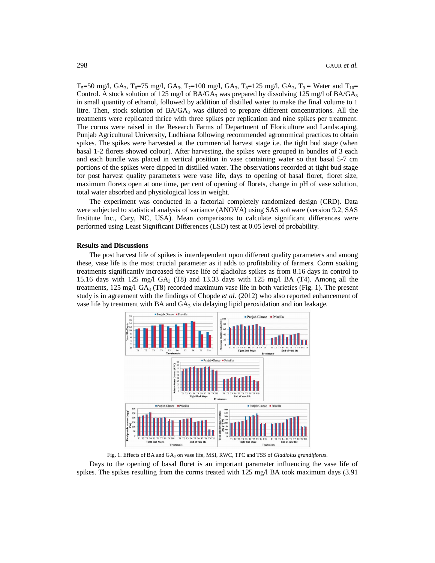$T_5=50$  mg/l, GA<sub>3</sub>,  $T_6=75$  mg/l, GA<sub>3</sub>,  $T_7=100$  mg/l, GA<sub>3</sub>,  $T_8=125$  mg/l, GA<sub>3</sub>,  $T_9 =$  Water and  $T_{10}=$ Control. A stock solution of 125 mg/l of BA/GA<sub>3</sub> was prepared by dissolving 125 mg/l of BA/GA<sub>3</sub> in small quantity of ethanol, followed by addition of distilled water to make the final volume to 1 litre. Then, stock solution of  $BA/GA_3$  was diluted to prepare different concentrations. All the treatments were replicated thrice with three spikes per replication and nine spikes per treatment. The corms were raised in the Research Farms of Department of Floriculture and Landscaping, Punjab Agricultural University, Ludhiana following recommended agronomical practices to obtain spikes. The spikes were harvested at the commercial harvest stage i.e. the tight bud stage (when basal 1-2 florets showed colour). After harvesting, the spikes were grouped in bundles of 3 each and each bundle was placed in vertical position in vase containing water so that basal 5-7 cm portions of the spikes were dipped in distilled water. The observations recorded at tight bud stage for post harvest quality parameters were vase life, days to opening of basal floret, floret size, maximum florets open at one time, per cent of opening of florets, change in pH of vase solution, total water absorbed and physiological loss in weight.

The experiment was conducted in a factorial completely randomized design (CRD). Data were subjected to statistical analysis of variance (ANOVA) using SAS software (version 9.2, SAS Institute Inc., Cary, NC, USA). Mean comparisons to calculate significant differences were performed using Least Significant Differences (LSD) test at 0.05 level of probability.

#### **Results and Discussions**

The post harvest life of spikes is interdependent upon different quality parameters and among these, vase life is the most crucial parameter as it adds to profitability of farmers. Corm soaking treatments significantly increased the vase life of gladiolus spikes as from 8.16 days in control to 15.16 days with 125 mg/l  $GA_3$  (T8) and 13.33 days with 125 mg/l BA (T4). Among all the treatments,  $125 \text{ mg/l } GA_3$  (T8) recorded maximum vase life in both varieties (Fig. 1). The present study is in agreement with the findings of Chopde *et al.* (2012) who also reported enhancement of vase life by treatment with BA and  $GA_3$  via delaying lipid peroxidation and ion leakage.



Fig. 1. Effects of BA and GA<sup>3</sup> on vase life, MSI, RWC, TPC and TSS of *Gladiolus grandiflorus*.

Days to the opening of basal floret is an important parameter influencing the vase life of spikes. The spikes resulting from the corms treated with 125 mg/l BA took maximum days (3.91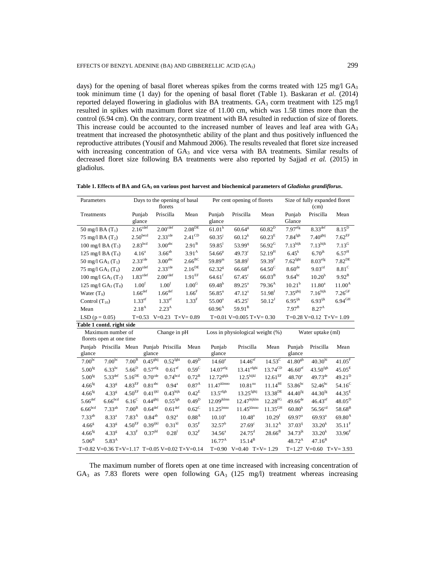days) for the opening of basal floret whereas spikes from the corms treated with 125 mg/l  $GA<sub>3</sub>$ took minimum time (1 day) for the opening of basal floret (Table 1). Baskaran *et al.* (2014) reported delayed flowering in gladiolus with BA treatments.  $GA_3$  corm treatment with 125 mg/l resulted in spikes with maximum floret size of 11.00 cm, which was 1.58 times more than the control (6.94 cm). On the contrary, corm treatment with BA resulted in reduction of size of florets. This increase could be accounted to the increased number of leaves and leaf area with GA<sub>3</sub> treatment that increased the photosynthetic ability of the plant and thus positively influenced the reproductive attributes (Yousif and Mahmoud 2006). The results revealed that floret size increased with increasing concentration of GA<sub>3</sub> and vice versa with BA treatments. Similar results of decreased floret size following BA treatments were also reported by Sajjad *et al.* (2015) in gladiolus.

| Table 1. Effects of BA and GA <sub>3</sub> on various post harvest and biochemical parameters of Gladiolus grandiflorus. |  |  |  |
|--------------------------------------------------------------------------------------------------------------------------|--|--|--|
|--------------------------------------------------------------------------------------------------------------------------|--|--|--|

| Parameters                |                                           |                                 |                       | Days to the opening of basal<br>florets |                                               |                         | Per cent opening of florets         |                       |                        | Size of fully expanded floret<br>(cm) |                                        |
|---------------------------|-------------------------------------------|---------------------------------|-----------------------|-----------------------------------------|-----------------------------------------------|-------------------------|-------------------------------------|-----------------------|------------------------|---------------------------------------|----------------------------------------|
| Treatments                |                                           | Punjab                          |                       | Priscilla                               | Mean                                          | Punjab                  | Priscilla                           | Mean                  | Punjab                 | Priscilla                             | Mean                                   |
|                           |                                           | glance                          |                       |                                         |                                               | glance                  |                                     |                       | Glance                 |                                       |                                        |
| 50 mg/l BA $(T_1)$        |                                           | $2.16^{\overline{\text{cdef}}}$ |                       | $2.00^{\text{cdef}}$                    | $2.08^{DE}$                                   | 61.01 <sup>h</sup>      | $60.64^{\rm g}$                     | $60.82^{D}$           | 7.97 <sup>efg</sup>    | $8.33^{\overline{\text{def}}}$        | $8.15^D$                               |
| 75 mg/l BA $(T_2)$        |                                           | $2.50^{\rm becd}$               |                       | $2.33^{\text{cde}}$                     | $2.41^{\rm CD}$                               | $60.35^{j}$             | $60.12^k$                           | 60.23 <sup>E</sup>    | $7.84^{\mathrm{fgh}}$  | 7.40 <sup>ghij</sup>                  | $7.62^{\rm EF}$                        |
|                           | 100 mg/l BA $(T_3)$                       | 2.83 <sup>bcd</sup>             |                       | $3.00^{\text{abc}}$                     | 2.91 <sup>B</sup>                             | $59.85^1$               | 53.99 <sup>q</sup>                  | $56.92^G$             | 7.13 <sup>hijk</sup>   | 7.13 <sup>hijk</sup>                  | $7.13^{\text{G}}$                      |
|                           | 125 mg/l BA $(T_4)$                       | 4.16 <sup>a</sup>               |                       | $3.66^{ab}$                             | 3.91 <sup>A</sup>                             | 54.66 <sup>p</sup>      | $49.73$ <sup>r</sup>                | $52.19^{\rm H}$       | $6.45^k$               | $6.70^{jk}$                           | $6.57^{\text{H}}$                      |
|                           | 50 mg/l GA <sub>3</sub> (T <sub>5</sub> ) | $2.33^{\text{cde}}$             |                       | 3.00 <sup>abc</sup>                     | $2.66^{\text{BC}}$                            | $59.89^{\rm m}$         | $58.89$ <sup>1</sup>                | $59.39^{F}$           | $7.62$ <sup>fghi</sup> | $8.03^{\rm efg}$                      | $7.82^{\rm DE}$                        |
|                           | 75 mg/l $GA_3(T_6)$                       | $2.00^{\mathrm{cdef}}$          |                       | $2.33^{\text{cde}}$                     | $2.16^{\rm DE}$                               | $62.32^{8}$             | $66.68^{d}$                         | $64.50^{\circ}$       | 8.60 <sup>de</sup>     | 9.03 <sup>cd</sup>                    | 8.81 <sup>C</sup>                      |
|                           | 100 mg/l $GA_3(T_7)$                      | $1.83^{\rm cdef}$               |                       | $2.00^{\mathrm{cdef}}$                  | $1.91^{\rm EF}$                               | $64.61^{\rm f}$         | $67.45^{\circ}$                     | $66.03^{B}$           | $9.64^{bc}$            | 10.20 <sup>b</sup>                    | $9.92^{B}$                             |
|                           | 125 mg/l $GA_3(T_8)$                      | $1.00^{\rm f}$                  |                       | 1.00 <sup>f</sup>                       | $1.00^{\rm G}$                                | $69.48^{b}$             | $89.25^{\text{a}}$                  | 79.36 <sup>A</sup>    | 10.21 <sup>b</sup>     | $11.80^a$                             | $11.00^{A}$                            |
| Water $(T9)$              |                                           | 1.66 <sup>def</sup>             |                       | $1.66$ <sup>def</sup>                   | $1.66^{\rm F}$                                | 56.85 <sup>n</sup>      | $47.12^{s}$                         | $51.98^{\mathrm{I}}$  | 7.35 <sup>ghij</sup>   | $7.16^{\text{hijk}}$                  | $7.26$ GF                              |
| Control $(T_{10})$        |                                           | $1.33$ <sup>ef</sup>            |                       | $1.33$ <sup>ef</sup>                    | $1.33^{\rm F}$                                | 55.00°                  | $45.25^t$                           | $50.12^{J}$           | $6.95^{ijk}$           | $6.93^{ijk}$                          | $6.94\ensuremath{^\mathrm{GH}}\xspace$ |
| Mean                      |                                           | $2.18^{A}$                      |                       | $2.23^{A}$                              |                                               | $60.96^{A}$             | $59.91^{B}$                         |                       | $7.97^{\rm B}$         | $8.27^{A}$                            |                                        |
| LSD ( $p = 0.05$ )        |                                           |                                 |                       |                                         | $T=0.53$ V=0.23 $T\times V=0.89$              |                         | T=0.01 V=0.005 T $\times$ V=0.30    |                       |                        | $T=0.28$ V=0.12 $T \times V= 1.09$    |                                        |
| Table 1 contd. right side |                                           |                                 |                       |                                         |                                               |                         |                                     |                       |                        |                                       |                                        |
|                           | Maximum number of                         |                                 |                       | Change in pH                            |                                               |                         | Loss in physiological weight $(\%)$ |                       |                        | Water uptake (ml)                     |                                        |
|                           | florets open at one time                  |                                 |                       |                                         |                                               |                         |                                     |                       |                        |                                       |                                        |
| Punjab                    | Priscilla Mean Punjab Priscilla           |                                 |                       |                                         | Mean                                          | Punjab                  | Priscilla                           | Mean                  | Punjab                 | Priscilla                             | Mean                                   |
| glance                    |                                           |                                 | glance                |                                         |                                               | glance                  |                                     |                       | glance                 |                                       |                                        |
| 7.00 <sup>bc</sup>        | $7.00^{bc}$                               | $7.00^{\rm B}$                  | $0.45g$ hij           | $0.52^{\rm fghi}$                       | $0.49^{D}$                                    | 14.60 <sup>e</sup>      | $14.46$ <sup>ef</sup>               | $14.53^{\circ}$       | $41.80^{\rm gh}$       | $40.30^{hi}$                          | $41.05^{\rm F}$                        |
| $5.00^{\mathrm{fg}}$      | $6.33^{bc}$                               | $5.66^D$                        | $0.57^{\rm efg}$      | 0.61 <sup>ef</sup>                      | 0.59 <sup>C</sup>                             | 14.07 <sup>efg</sup>    | $13.41^{\rm efghi}$                 | $13.74^{\rm CD}$      | $46.60^{\rm ef}$       | $43.50^{\rm fgh}$                     | $45.05^{\rm E}$                        |
| $5.00^{\mathrm{fg}}$      | $5.33^{\text{def}}$                       | $5.16^{\rm DE}$                 | $0.70$ <sup>cde</sup> | 0.74 <sup>bcd</sup>                     | $0.72^{\rm B}$                                | $12.72$ <sup>ghjk</sup> | 12.5 <sup>hijkl</sup>               | $12.61^{\rm EF}$      | $48.70^{\circ}$        | $49.73^{\text{de}}$                   | $49.21^{D}$                            |
| $4.66\mathrm{^{fg}}$      | 4.33 <sup>g</sup>                         | $4.83^{\rm EF}$                 | $0.81^{\rm abc}$      | $0.94^{\rm a}$                          | 0.87 <sup>A</sup>                             | $11.47^{\rm klmno}$     | $10.81^{\rm no}$                    | $11.14^{\rm HI}$      | $53.86^{bc}$           | $52.46^{bc}$                          | $54.16^{\circ}$                        |
| $4.66^{\mathrm{fg}}$      | $4.33^{8}$                                | $4.50^{\rm EF}$                 | $0.41^{ijkl}$         | $0.43^{\text{hijk}}$                    | $0.42^E$                                      | $13.5^{\mathrm{efgh}}$  | $13.25$ <sup>fghij</sup>            | $13.38^{\rm DE}$      | $44.40^{fg}$           | $44.30^{fg}$                          | $44.35^{\rm E}$                        |
| $5.66$ <sup>def</sup>     | 6.66 <sup>bcd</sup>                       | $6.16^{\rm C}$                  | 0.44 <sup>ghij</sup>  | $0.55^{\mathrm{fgh}}$                   | 0.49 <sup>D</sup>                             | $12.09^{\rm jklmn}$     | $12.47^{\rm hijklm}$                | $12.28^{\mathrm{FG}}$ | $49.66^{de}$           | $46.43$ ef                            | $48.05^D$                              |
| $6.66^{\rm bcd}$          | $7.33^{ab}$                               | $7.00^{\rm B}$                  | $0.64^{\rm def}$      | $0.61^{\rm def}$                        | $0.62^{\circ}$                                | $11.25^{\rm l mno}$     | $11.45^{\rm klmno}$                 | $11.35^{\rm GH}$      | 60.80 <sup>b</sup>     | $56.56^{\text{cd}}$                   | $58.68^{B}$                            |
| $7.33^{ab}$               | $8.33^{a}$                                | 7.83 <sup>A</sup>               | $0.84^{\rm ab}$       | $0.92^{\rm a}$                          | 0.88 <sup>A</sup>                             | $10.10^{\circ}$         | $10.48^{\circ}$                     | 10.29 <sup>I</sup>    | 69.97 <sup>a</sup>     | $69.93^a$                             | $69.80^{A}$                            |
| 4.66 <sup>g</sup>         | $4.33^{8}$                                | $4.50^{\rm EF}$                 | $0.39$ ijkl           | $0.31$ <sup>kl</sup>                    | 0.35 <sup>F</sup>                             | $32.57^{\rm b}$         | 27.69 <sup>c</sup>                  | $31.12^A$             | $37.03^{ij}$           | $33.20^{k}$                           | $35.11^{\rm F}$                        |
| $4.66^{\rm fg}$           | 4.33 <sup>g</sup>                         | $4.33^{F}$                      | $0.37$ <sup>jkl</sup> | 0.28 <sup>1</sup>                       | 0.32 <sup>F</sup>                             | $34.56^a$               | $24.75^{\rm d}$                     | $28.66^{\rm B}$       | $34.73^{jk}$           | 33.20 <sup>k</sup>                    | $33.96^F$                              |
| $5.06^{\rm B}$            | $5.83^{A}$                                |                                 |                       |                                         |                                               | $16.77^{\rm A}$         | $15.14^{B}$                         |                       | $48.72^{A}$            | $47.16^{\rm B}$                       |                                        |
|                           |                                           |                                 |                       |                                         | T=0.82 V=0.36 T×V=1.17 T=0.05 V=0.02 T×V=0.14 |                         | $T=0.90$ V=0.40 $T\times V=1.29$    |                       |                        | $T=1.27$ V=0.60 $T \times V = 3.93$   |                                        |

The maximum number of florets open at one time increased with increasing concentration of GA<sub>3</sub> as 7.83 florets were open following GA<sub>3</sub> (125 mg/l) treatment whereas increasing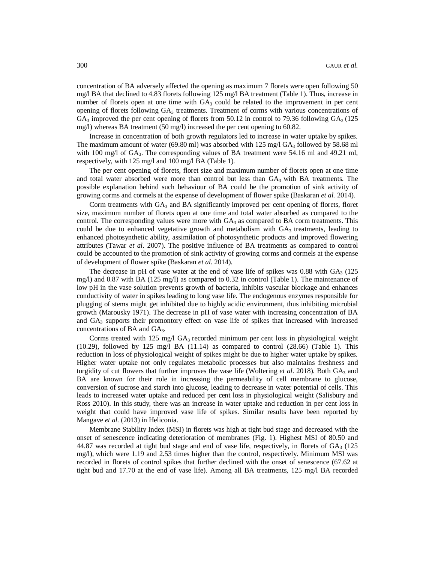concentration of BA adversely affected the opening as maximum 7 florets were open following 50 mg/l BA that declined to 4.83 florets following 125 mg/l BA treatment (Table 1). Thus, increase in number of florets open at one time with  $GA_3$  could be related to the improvement in per cent opening of florets following  $GA_3$  treatments. Treatment of corms with various concentrations of  $GA_3$  improved the per cent opening of florets from 50.12 in control to 79.36 following  $GA_3$  (125) mg/l) whereas BA treatment (50 mg/l) increased the per cent opening to 60.82.

Increase in concentration of both growth regulators led to increase in water uptake by spikes. The maximum amount of water (69.80 ml) was absorbed with  $125 \text{ mg/l}$  GA<sub>3</sub> followed by 58.68 ml with 100 mg/l of GA<sub>3</sub>. The corresponding values of BA treatment were 54.16 ml and 49.21 ml, respectively, with 125 mg/l and 100 mg/l BA (Table 1).

The per cent opening of florets, floret size and maximum number of florets open at one time and total water absorbed were more than control but less than  $GA_3$  with BA treatments. The possible explanation behind such behaviour of BA could be the promotion of sink activity of growing corms and cormels at the expense of development of flower spike (Baskaran *et al.* 2014).

Corm treatments with  $GA_3$  and BA significantly improved per cent opening of florets, floret size, maximum number of florets open at one time and total water absorbed as compared to the control. The corresponding values were more with  $GA_3$  as compared to BA corm treatments. This could be due to enhanced vegetative growth and metabolism with  $GA_3$  treatments, leading to enhanced photosynthetic ability, assimilation of photosynthetic products and improved flowering attributes (Tawar *et al*. 2007). The positive influence of BA treatments as compared to control could be accounted to the promotion of sink activity of growing corms and cormels at the expense of development of flower spike (Baskaran *et al.* 2014).

The decrease in pH of vase water at the end of vase life of spikes was 0.88 with  $GA_3$  (125) mg/l) and 0.87 with BA (125 mg/l) as compared to 0.32 in control (Table 1). The maintenance of low pH in the vase solution prevents growth of bacteria, inhibits vascular blockage and enhances conductivity of water in spikes leading to long vase life. The endogenous enzymes responsible for plugging of stems might get inhibited due to highly acidic environment, thus inhibiting microbial growth (Marousky 1971). The decrease in pH of vase water with increasing concentration of BA and  $GA_3$  supports their promontory effect on vase life of spikes that increased with increased concentrations of BA and GA<sub>3</sub>.

Corms treated with  $125 \text{ mg}/\text{I GA}_3$  recorded minimum per cent loss in physiological weight  $(10.29)$ , followed by 125 mg/l BA  $(11.14)$  as compared to control  $(28.66)$  (Table 1). This reduction in loss of physiological weight of spikes might be due to higher water uptake by spikes. Higher water uptake not only regulates metabolic processes but also maintains freshness and turgidity of cut flowers that further improves the vase life (Woltering *et al.* 2018). Both GA<sub>3</sub> and BA are known for their role in increasing the permeability of cell membrane to glucose, conversion of sucrose and starch into glucose, leading to decrease in water potential of cells. This leads to increased water uptake and reduced per cent loss in physiological weight (Salisbury and Ross 2010). In this study, there was an increase in water uptake and reduction in per cent loss in weight that could have improved vase life of spikes. Similar results have been reported by Mangave *et al.* (2013) in Heliconia.

Membrane Stability Index (MSI) in florets was high at tight bud stage and decreased with the onset of senescence indicating deterioration of membranes (Fig. 1). Highest MSI of 80.50 and 44.87 was recorded at tight bud stage and end of vase life, respectively, in florets of  $GA_3$  (125) mg/l), which were 1.19 and 2.53 times higher than the control, respectively. Minimum MSI was recorded in florets of control spikes that further declined with the onset of senescence (67.62 at tight bud and 17.70 at the end of vase life). Among all BA treatments, 125 mg/l BA recorded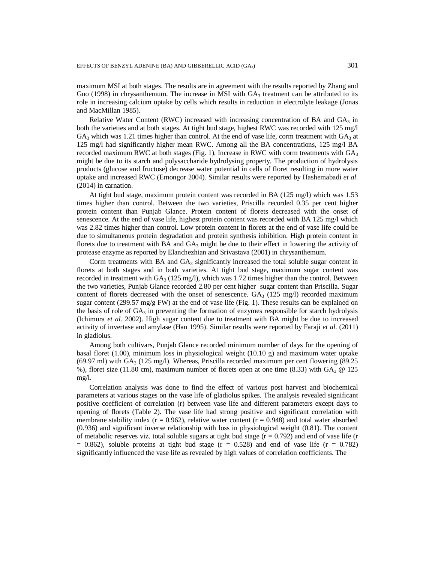maximum MSI at both stages. The results are in agreement with the results reported by Zhang and Guo (1998) in chrysanthemum. The increase in MSI with  $GA_3$  treatment can be attributed to its role in increasing calcium uptake by cells which results in reduction in electrolyte leakage (Jonas and MacMillan 1985).

Relative Water Content (RWC) increased with increasing concentration of BA and  $GA_3$  in both the varieties and at both stages. At tight bud stage, highest RWC was recorded with 125 mg/l  $GA_3$  which was 1.21 times higher than control. At the end of vase life, corm treatment with  $GA_3$  at 125 mg/l had significantly higher mean RWC. Among all the BA concentrations, 125 mg/l BA recorded maximum RWC at both stages (Fig. 1). Increase in RWC with corm treatments with  $GA<sub>3</sub>$ might be due to its starch and polysaccharide hydrolysing property. The production of hydrolysis products (glucose and fructose) decrease water potential in cells of floret resulting in more water uptake and increased RWC (Emongor 2004). Similar results were reported by Hashemabadi *et al.* (2014) in carnation.

At tight bud stage, maximum protein content was recorded in BA (125 mg/l) which was 1.53 times higher than control. Between the two varieties, Priscilla recorded 0.35 per cent higher protein content than Punjab Glance. Protein content of florets decreased with the onset of senescence. At the end of vase life, highest protein content was recorded with BA 125 mg/l which was 2.82 times higher than control. Low protein content in florets at the end of vase life could be due to simultaneous protein degradation and protein synthesis inhibition. High protein content in florets due to treatment with BA and  $GA_3$  might be due to their effect in lowering the activity of protease enzyme as reported by Elanchezhian and Srivastava (2001) in chrysanthemum.

Corm treatments with BA and  $GA_3$  significantly increased the total soluble sugar content in florets at both stages and in both varieties. At tight bud stage, maximum sugar content was recorded in treatment with  $GA_3$  (125 mg/l), which was 1.72 times higher than the control. Between the two varieties, Punjab Glance recorded 2.80 per cent higher sugar content than Priscilla. Sugar content of florets decreased with the onset of senescence.  $GA_3$  (125 mg/l) recorded maximum sugar content (299.57 mg/g FW) at the end of vase life (Fig. 1). These results can be explained on the basis of role of  $GA_3$  in preventing the formation of enzymes responsible for starch hydrolysis (Ichimura *et al*. 2002). High sugar content due to treatment with BA might be due to increased activity of invertase and amylase (Han 1995). Similar results were reported by Faraji *et al*. (2011) in gladiolus.

Among both cultivars, Punjab Glance recorded minimum number of days for the opening of basal floret (1.00), minimum loss in physiological weight (10.10 g) and maximum water uptake  $(69.97 \text{ ml})$  with GA<sub>3</sub> (125 mg/l). Whereas, Priscilla recorded maximum per cent flowering (89.25) %), floret size (11.80 cm), maximum number of florets open at one time (8.33) with  $GA_3 \otimes 125$ mg/l.

Correlation analysis was done to find the effect of various post harvest and biochemical parameters at various stages on the vase life of gladiolus spikes. The analysis revealed significant positive coefficient of correlation (r) between vase life and different parameters except days to opening of florets (Table 2). The vase life had strong positive and significant correlation with membrane stability index ( $r = 0.962$ ), relative water content ( $r = 0.948$ ) and total water absorbed (0.936) and significant inverse relationship with loss in physiological weight (0.81). The content of metabolic reserves viz. total soluble sugars at tight bud stage  $(r = 0.792)$  and end of vase life (r  $= 0.862$ ), soluble proteins at tight bud stage (r = 0.528) and end of vase life (r = 0.782) significantly influenced the vase life as revealed by high values of correlation coefficients. The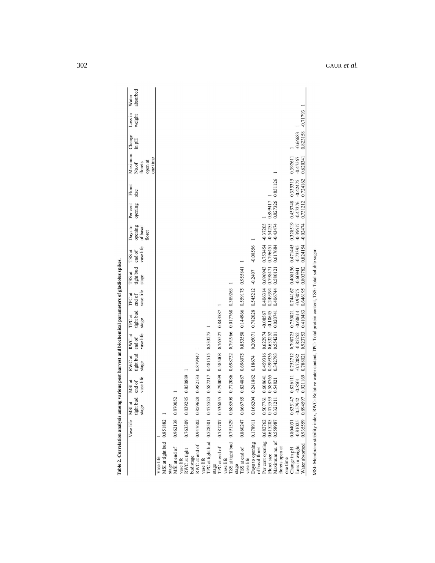|                                                                                                                   | Vase life MSI at      | tight bud<br>stage                                                      | vase life<br>MSI at<br>end of | tight bud<br>stage     | $RWC$ at $RWC$ at<br>vase life<br>$\operatorname{end}$ of | TPC at<br>tight bud<br>stage | TPC at<br>vase life<br>end of | TSS at<br>tight bud<br>stage                    | vase life<br>TSS at<br>end of | Days to<br>opening<br>of basal<br>floret | Per cent<br>opening              | Floret<br>size                                                                                          | Maximum Change<br>one time<br>open at<br>florets<br>No.of | in pH                           | Loss in<br>weight | absorbed<br>Water |
|-------------------------------------------------------------------------------------------------------------------|-----------------------|-------------------------------------------------------------------------|-------------------------------|------------------------|-----------------------------------------------------------|------------------------------|-------------------------------|-------------------------------------------------|-------------------------------|------------------------------------------|----------------------------------|---------------------------------------------------------------------------------------------------------|-----------------------------------------------------------|---------------------------------|-------------------|-------------------|
| MSI at tight bud 0.851882<br>Vase life                                                                            |                       |                                                                         |                               |                        |                                                           |                              |                               |                                                 |                               |                                          |                                  |                                                                                                         |                                                           |                                 |                   |                   |
| stage<br>MSI at end of                                                                                            | 0.962138 0.87         | '0052                                                                   |                               |                        |                                                           |                              |                               |                                                 |                               |                                          |                                  |                                                                                                         |                                                           |                                 |                   |                   |
| RWC at tight<br>vase life                                                                                         |                       | 0.763309 0.839285 0.850889                                              |                               |                        |                                                           |                              |                               |                                                 |                               |                                          |                                  |                                                                                                         |                                                           |                                 |                   |                   |
| RWC at end of<br>bud stage                                                                                        |                       | 0.947682 0.859628                                                       |                               | 0.982133 0.879447 1    |                                                           |                              |                               |                                                 |                               |                                          |                                  |                                                                                                         |                                                           |                                 |                   |                   |
| TPC at tight bud 0.528501 0.475523<br>vase life                                                                   |                       |                                                                         |                               |                        | 0.587217 0.481515 0.533275                                |                              |                               |                                                 |                               |                                          |                                  |                                                                                                         |                                                           |                                 |                   |                   |
| TPC at end of<br>stage                                                                                            |                       | 0.781707 0.536855                                                       |                               |                        | 0.790099 0.585408 0.765527 0.843587                       |                              |                               |                                                 |                               |                                          |                                  |                                                                                                         |                                                           |                                 |                   |                   |
| TSS at tight bud 0.791529 0.688508<br>vase life                                                                   |                       |                                                                         |                               | 0.772086 0.698732      |                                                           | 0.791966 0.017768 0.389263   |                               |                                                 |                               |                                          |                                  |                                                                                                         |                                                           |                                 |                   |                   |
| TSS at end of<br>stage                                                                                            |                       | 0.860247 0.666785 0.834887 0.696075 0.853558 0.144966 0.559175 0.955841 |                               |                        |                                                           |                              |                               |                                                 |                               |                                          |                                  |                                                                                                         |                                                           |                                 |                   |                   |
| Days to opening<br>vase life                                                                                      |                       | 0.178911 0.166204 0.241862 0.18674 0.205071 0.782028 0.545212 -0.2407   |                               |                        |                                                           |                              |                               |                                                 | $-0.08556$                    |                                          |                                  |                                                                                                         |                                                           |                                 |                   |                   |
| of basal floret                                                                                                   |                       |                                                                         |                               |                        |                                                           |                              |                               |                                                 |                               |                                          |                                  |                                                                                                         |                                                           |                                 |                   |                   |
| Per cent opening 0.682762<br>Floret size                                                                          | 0.615285              | 0.473559<br>17761<br>0.50                                               | 0.608641<br>0.588765          |                        | 0.459316 0.622974 -0.00567<br>0.499936 0.633252           | $-0.18645$                   |                               | 0.406314 0.696943<br>0.249394 0.798471          | 0.753454<br>0.796451          | $-0.54255$<br>$-0.37205$                 | 0.899417                         |                                                                                                         |                                                           |                                 |                   |                   |
| Maximum no. of                                                                                                    | 0.58887               | 0.321211                                                                | 0.54821                       | 0.342783               | 0.554201                                                  | 0.020741                     | 0.406744                      | 0.580121                                        | 0.617684                      | $-0.43474$                               | 0.827326 0.851126                |                                                                                                         |                                                           |                                 |                   |                   |
| florets open at<br>one time                                                                                       |                       |                                                                         |                               |                        |                                                           |                              |                               |                                                 |                               |                                          |                                  |                                                                                                         |                                                           |                                 |                   |                   |
| Change in pH                                                                                                      | 0.804031              | 0.83                                                                    |                               |                        |                                                           |                              |                               |                                                 |                               |                                          |                                  | 5147 0.826111 0.752712 0.798725 0.750821 0.744167 0.408156 0.471445 0.328519 0.455748 0.335315 0.392611 |                                                           |                                 |                   |                   |
| Water absorbed<br>Loss in weight                                                                                  | 0.93559<br>$-0.81025$ | $-0.57942$<br>0.894597                                                  | 0.921169<br>$-0.8501$         | $-0.72082$<br>0.788021 | $-0.85252$<br>0.923753                                    | 0.410483                     | 0.646195                      | -0.68614 -0.93075 -0.60941 -0.73395<br>0.803782 | 0.824154                      | $-0.39617$<br>$-0.02474$                 | $-0.47376 - 0.42475$<br>0.731212 | 0.724162                                                                                                | $-0.47567$<br>0.620341                                    | 0.823158 -0.71793<br>$-0.66683$ |                   |                   |
| MSI- Membrane stability index, RWC- Relative water content, TPC- Total protein content, TSS- Total soluble sugar. |                       |                                                                         |                               |                        |                                                           |                              |                               |                                                 |                               |                                          |                                  |                                                                                                         |                                                           |                                 |                   |                   |
|                                                                                                                   |                       |                                                                         |                               |                        |                                                           |                              |                               |                                                 |                               |                                          |                                  |                                                                                                         |                                                           |                                 |                   |                   |

Table 2. Correlation analysis among various post harvest and biochemical parameters of gladiolus spikes.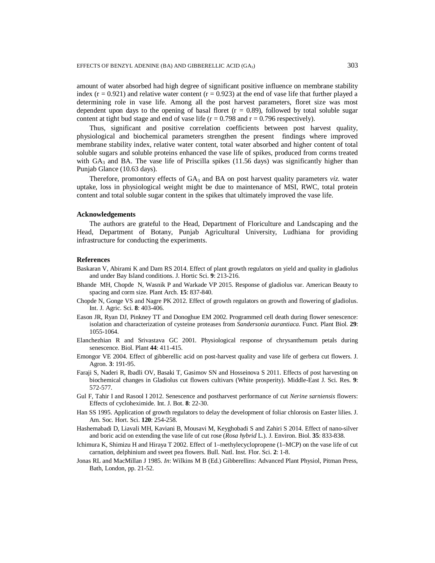amount of water absorbed had high degree of significant positive influence on membrane stability index  $(r = 0.921)$  and relative water content  $(r = 0.923)$  at the end of vase life that further played a determining role in vase life. Among all the post harvest parameters, floret size was most dependent upon days to the opening of basal floret  $(r = 0.89)$ , followed by total soluble sugar content at tight bud stage and end of vase life ( $r = 0.798$  and  $r = 0.796$  respectively).

Thus, significant and positive correlation coefficients between post harvest quality, physiological and biochemical parameters strengthen the present findings where improved membrane stability index, relative water content, total water absorbed and higher content of total soluble sugars and soluble proteins enhanced the vase life of spikes, produced from corms treated with  $GA_3$  and BA. The vase life of Priscilla spikes (11.56 days) was significantly higher than Punjab Glance (10.63 days).

Therefore, promontory effects of  $GA_3$  and  $BA$  on post harvest quality parameters *viz*. water uptake, loss in physiological weight might be due to maintenance of MSI, RWC, total protein content and total soluble sugar content in the spikes that ultimately improved the vase life.

#### **Acknowledgements**

The authors are grateful to the Head, Department of Floriculture and Landscaping and the Head, Department of Botany, Punjab Agricultural University, Ludhiana for providing infrastructure for conducting the experiments.

### **References**

- Baskaran V, Abirami K and Dam RS 2014. Effect of plant growth regulators on yield and quality in gladiolus and under Bay Island conditions. J. Hortic Sci. **9**: 213-216.
- Bhande MH, Chopde N, Wasnik P and Warkade VP 2015. Response of gladiolus var. American Beauty to spacing and corm size. Plant Arch. **15**: 837-840.
- Chopde N, Gonge VS and Nagre PK 2012. Effect of growth regulators on growth and flowering of gladiolus. Int. J. Agric. Sci. **8**: 403-406.
- Eason JR, Ryan DJ, Pinkney TT and Donoghue EM 2002. Programmed cell death during flower senescence: isolation and characterization of cysteine proteases from *Sandersonia aurantiaca.* Funct. Plant Biol. **29**: 1055-1064.
- Elanchezhian R and Srivastava GC 2001. Physiological response of chrysanthemum petals during senescence*.* Biol. Plant **44**: 411-415.
- Emongor VE 2004. Effect of gibberellic acid on post-harvest quality and vase life of gerbera cut flowers. J. Agron. **3**: 191-95.
- Faraji S, Naderi R, Ibadli OV, Basaki T, Gasimov SN and Hosseinova S 2011. Effects of post harvesting on biochemical changes in Gladiolus cut flowers cultivars (White prosperity). Middle-East J. Sci. Res. **9**: 572-577.
- Gul F, Tahir I and Rasool I 2012. Senescence and postharvest performance of cut *Nerine sarniensis* flowers: Effects of cycloheximide. Int. J. Bot. **8**: 22-30.
- Han SS 1995. Application of growth regulators to delay the development of foliar chlorosis on Easter lilies. J. Am. Soc. Hort. Sci. **120**: 254-258.
- Hashemabadi D, Liavali MH, Kaviani B, Mousavi M, Keyghobadi S and Zahiri S 2014. Effect of nano-silver and boric acid on extending the vase life of cut rose (*Rosa hybrid* L.). J. Environ. Biol. **35**: 833-838.
- Ichimura K, Shimizu H and Hiraya T 2002. Effect of 1–methylecyclopropene (1–MCP) on the vase life of cut carnation, delphinium and sweet pea flowers. Bull. Natl. Inst. Flor. Sci. **2**: 1-8.
- Jonas RL and MacMillan J 1985. *In*: Wilkins M B (Ed.) Gibberellins: Advanced Plant Physiol*,* Pitman Press, Bath, London, pp. 21-52.